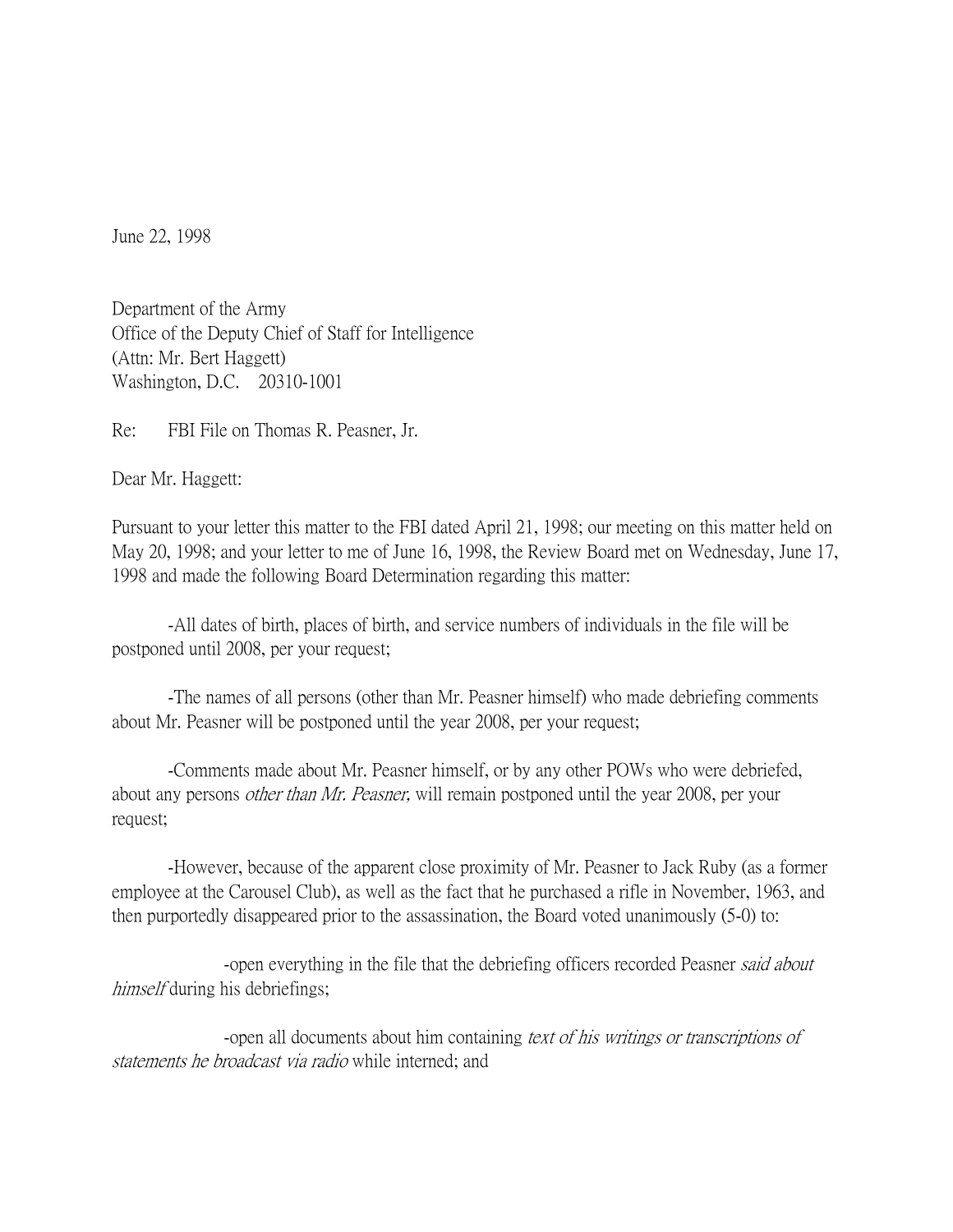June 22, 1998

Department of the Army Office of the Deputy Chief of Staff for Intelligence (Attn: Mr. Bert Haggett) Washington, D.C. 20310-1001

Re: FBI File on Thomas R. Peasner, Jr.

Dear Mr. Haggett:

Pursuant to your letter this matter to the FBI dated April 21, 1998; our meeting on this matter held on May 20, 1998; and your letter to me of June 16, 1998, the Review Board met on Wednesday, June 17, 1998 and made the following Board Determination regarding this matter:

-All dates of birth, places of birth, and service numbers of individuals in the file will be postponed until 2008, per your request;

-The names of all persons (other than Mr. Peasner himself) who made debriefing comments about Mr. Peasner will be postponed until the year 2008, per your request;

-Comments made about Mr. Peasner himself, or by any other POWs who were debriefed, about any persons *other than Mr. Peasner*, will remain postponed until the year 2008, per your request;

-However, because of the apparent close proximity of Mr. Peasner to Jack Ruby (as a former employee at the Carousel Club), as well as the fact that he purchased a rifle in November, 1963, and then purportedly disappeared prior to the assassination, the Board voted unanimously (5-0) to:

-open everything in the file that the debriefing officers recorded Peasner *said about* himself during his debriefings;

-open all documents about him containing text of his writings or transcriptions of statements he broadcast via radio while interned; and